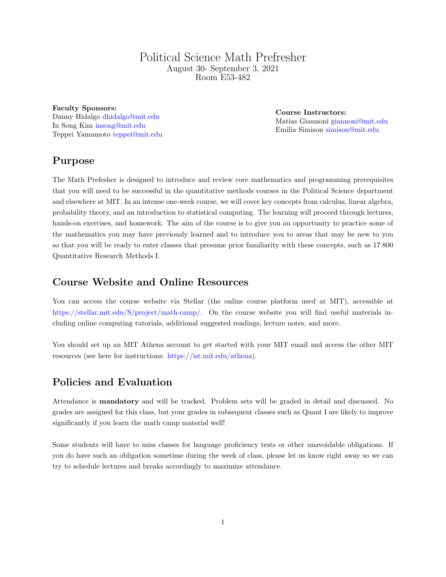# Political Science Math Prefresher August 30- September 3, 2021 Room [E53-482](http://whereis.mit.edu/?go=E51)

Faculty Sponsors: Danny Hidalgo [dhidalgo@mit.edu](mailto:dhidalgo@mit.edu) In Song Kim [insong@mit.edu](mailto:insong@mit.edu) Teppei Yamamoto [teppei@mit.edu](mailto:teppei@mit.edu)

Course Instructors: Matias Giannoni [giannoni@mit.edu](mailto:giannoni@mit.edu) Emilia Simison [simison@mit.edu](mailto:simison@mit.edu)

# Purpose

The Math Prefesher is designed to introduce and review core mathematics and programming prerequisites that you will need to be successful in the quantitative methods courses in the Political Science department and elsewhere at MIT. In an intense one-week course, we will cover key concepts from calculus, linear algebra, probability theory, and an introduction to statistical computing. The learning will proceed through lectures, hands-on exercises, and homework. The aim of the course is to give you an opportunity to practice some of the mathematics you may have previously learned and to introduce you to areas that may be new to you so that you will be ready to enter classes that presume prior familiarity with these concepts, such as 17.800 Quantitative Research Methods I.

# Course Website and Online Resources

You can access the course website via Stellar (the online course platform used at MIT), accessible at [https://stellar.mit.edu/S/project/math-camp/.](https://stellar.mit.edu/S/project/math-camp/) On the course website you will find useful materials including online computing tutorials, additional suggested readings, lecture notes, and more.

You should set up an MIT Athena account to get started with your MIT email and access the other MIT resources (see here for instructions: [https://ist.mit.edu/athena\)](https://ist.mit.edu/athena).

# Policies and Evaluation

Attendance is mandatory and will be tracked. Problem sets will be graded in detail and discussed. No grades are assigned for this class, but your grades in subsequent classes such as Quant I are likely to improve significantly if you learn the math camp material well!

Some students will have to miss classes for language proficiency tests or other unavoidable obligations. If you do have such an obligation sometime during the week of class, please let us know right away so we can try to schedule lectures and breaks accordingly to maximize attendance.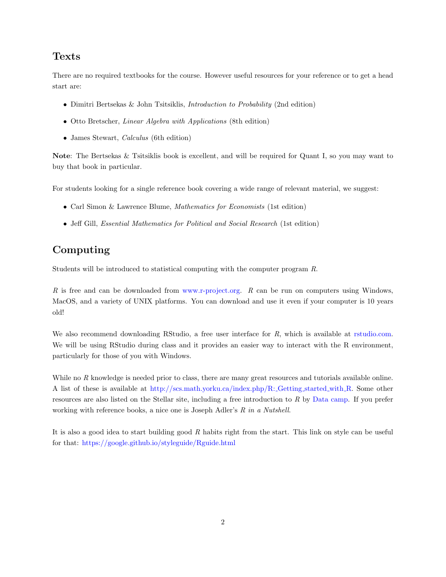# Texts

There are no required textbooks for the course. However useful resources for your reference or to get a head start are:

- Dimitri Bertsekas & John Tsitsiklis, Introduction to Probability (2nd edition)
- Otto Bretscher, *Linear Algebra with Applications* (8th edition)
- James Stewart, *Calculus* (6th edition)

Note: The Bertsekas & Tsitsiklis book is excellent, and will be required for Quant I, so you may want to buy that book in particular.

For students looking for a single reference book covering a wide range of relevant material, we suggest:

- Carl Simon & Lawrence Blume, Mathematics for Economists (1st edition)
- Jeff Gill, *Essential Mathematics for Political and Social Research* (1st edition)

# Computing

Students will be introduced to statistical computing with the computer program R.

 $R$  is free and can be downloaded from [www.r-project.org.](www.r-project.org)  $R$  can be run on computers using Windows, MacOS, and a variety of UNIX platforms. You can download and use it even if your computer is 10 years old!

We also recommend downloading RStudio, a free user interface for R, which is available at [rstudio.com.](rstudio.com) We will be using RStudio during class and it provides an easier way to interact with the R environment, particularly for those of you with Windows.

While no R knowledge is needed prior to class, there are many great resources and tutorials available online. A list of these is available at [http://scs.math.yorku.ca/index.php/R:](http://scs.math.yorku.ca/index.php/R:_Getting_started_with_R) Getting started with R. Some other resources are also listed on the Stellar site, including a free introduction to R by [Data camp.](https://www.datacamp.com/courses/free-introduction-to-r) If you prefer working with reference books, a nice one is Joseph Adler's R in a Nutshell.

It is also a good idea to start building good R habits right from the start. This link on style can be useful for that: <https://google.github.io/styleguide/Rguide.html>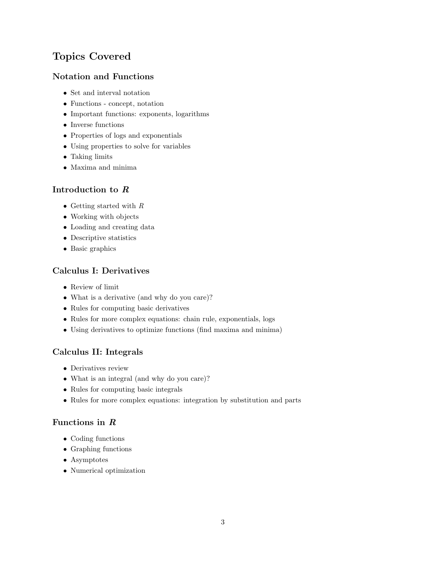# Topics Covered

#### Notation and Functions

- Set and interval notation
- Functions concept, notation
- Important functions: exponents, logarithms
- $\bullet~$  Inverse functions
- Properties of logs and exponentials
- Using properties to solve for variables
- Taking limits
- Maxima and minima

#### Introduction to R

- Getting started with  $R$
- Working with objects
- Loading and creating data
- Descriptive statistics
- Basic graphics

#### Calculus I: Derivatives

- Review of limit
- What is a derivative (and why do you care)?
- Rules for computing basic derivatives
- Rules for more complex equations: chain rule, exponentials, logs
- Using derivatives to optimize functions (find maxima and minima)

#### Calculus II: Integrals

- Derivatives review
- What is an integral (and why do you care)?
- Rules for computing basic integrals
- Rules for more complex equations: integration by substitution and parts

#### Functions in R

- Coding functions
- Graphing functions
- Asymptotes
- Numerical optimization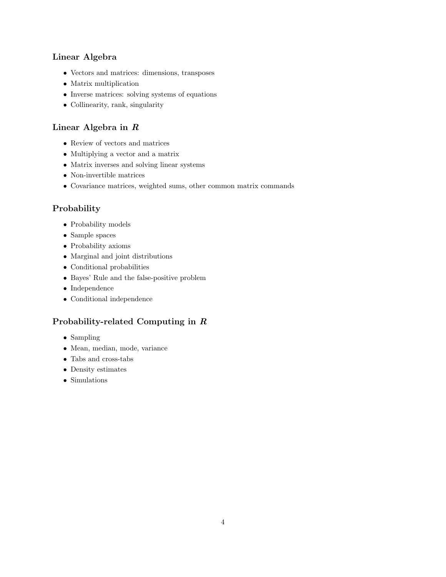## Linear Algebra

- Vectors and matrices: dimensions, transposes
- Matrix multiplication
- Inverse matrices: solving systems of equations
- Collinearity, rank, singularity

# Linear Algebra in R

- Review of vectors and matrices
- Multiplying a vector and a matrix
- $\bullet\,$  Matrix inverses and solving linear systems
- Non-invertible matrices
- Covariance matrices, weighted sums, other common matrix commands

# Probability

- Probability models
- Sample spaces
- Probability axioms
- Marginal and joint distributions
- Conditional probabilities
- Bayes' Rule and the false-positive problem
- Independence
- Conditional independence

## Probability-related Computing in R

- Sampling
- Mean, median, mode, variance
- Tabs and cross-tabs
- Density estimates
- Simulations